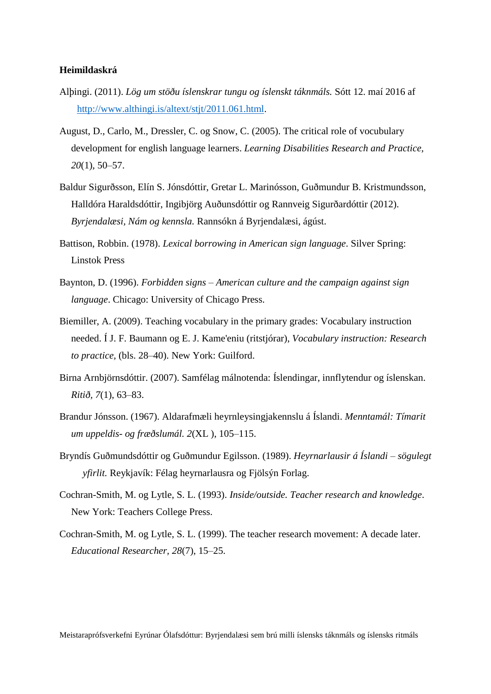## **Heimildaskrá**

- Alþingi. (2011). *Lög um stöðu íslenskrar tungu og íslenskt táknmáls.* Sótt 12. maí 2016 af [http://www.althingi.is/altext/stjt/2011.061.html.](http://www.althingi.is/altext/stjt/2011.061.html)
- August, D., Carlo, M., Dressler, C. og Snow, C. (2005). The critical role of vocubulary development for english language learners. *Learning Disabilities Research and Practice, 20*(1), 50–57.
- Baldur Sigurðsson, Elín S. Jónsdóttir, Gretar L. Marinósson, Guðmundur B. Kristmundsson, Halldóra Haraldsdóttir, Ingibjörg Auðunsdóttir og Rannveig Sigurðardóttir (2012). *Byrjendalæsi, Nám og kennsla.* Rannsókn á Byrjendalæsi, ágúst.
- Battison, Robbin. (1978). *Lexical borrowing in American sign language*. Silver Spring: Linstok Press
- Baynton, D. (1996). *Forbidden signs – American culture and the campaign against sign language*. Chicago: University of Chicago Press.
- Biemiller, A. (2009). Teaching vocabulary in the primary grades: Vocabulary instruction needed. Í J. F. Baumann og E. J. Kame'eniu (ritstjórar), *Vocabulary instruction: Research to practice,* (bls. 28–40). New York: Guilford.
- Birna Arnbjörnsdóttir. (2007). Samfélag málnotenda: Íslendingar, innflytendur og íslenskan. *Ritið, 7*(1), 63–83.
- Brandur Jónsson. (1967). Aldarafmæli heyrnleysingjakennslu á Íslandi. *Menntamál: Tímarit um uppeldis- og fræðslumál. 2*(XL ), 105–115.
- Bryndís Guðmundsdóttir og Guðmundur Egilsson. (1989). *Heyrnarlausir á Íslandi – sögulegt yfirlit.* Reykjavík: Félag heyrnarlausra og Fjölsýn Forlag.
- Cochran-Smith, M. og Lytle, S. L. (1993). *Inside/outside. Teacher research and knowledge*. New York: Teachers College Press.
- Cochran-Smith, M. og Lytle, S. L. (1999). The teacher research movement: A decade later. *Educational Researcher, 28*(7), 15–25.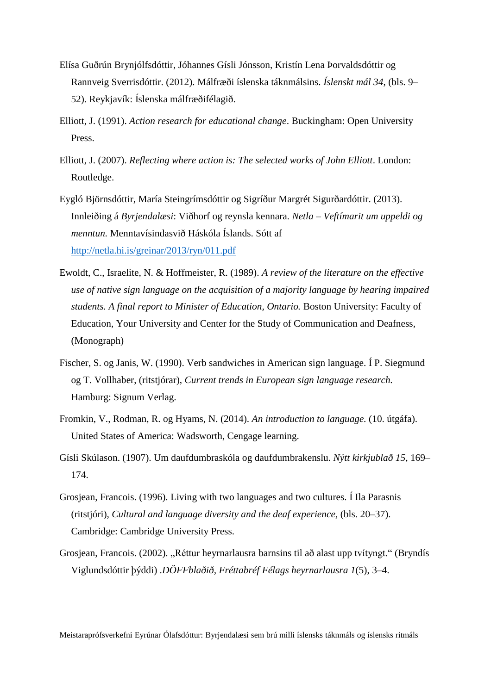- Elísa Guðrún Brynjólfsdóttir, Jóhannes Gísli Jónsson, Kristín Lena Þorvaldsdóttir og Rannveig Sverrisdóttir. (2012). Málfræði íslenska táknmálsins. *Íslenskt mál 34*, (bls. 9– 52). Reykjavík: Íslenska málfræðifélagið.
- Elliott, J. (1991). *Action research for educational change*. Buckingham: Open University Press.
- Elliott, J. (2007). *Reflecting where action is: The selected works of John Elliott*. London: Routledge.
- Eygló Björnsdóttir, María Steingrímsdóttir og Sigríður Margrét Sigurðardóttir. (2013). Innleiðing á *Byrjendalæsi*: Viðhorf og reynsla kennara. *Netla – Veftímarit um uppeldi og menntun.* Menntavísindasvið Háskóla Íslands. Sótt af <http://netla.hi.is/greinar/2013/ryn/011.pdf>
- Ewoldt, C., Israelite, N. & Hoffmeister, R. (1989). *A review of the literature on the effective use of native sign language on the acquisition of a majority language by hearing impaired students. A final report to Minister of Education, Ontario.* Boston University: Faculty of Education, Your University and Center for the Study of Communication and Deafness, (Monograph)
- Fischer, S. og Janis, W. (1990). Verb sandwiches in American sign language. Í P. Siegmund og T. Vollhaber, (ritstjórar), *Current trends in European sign language research.* Hamburg: Signum Verlag.
- Fromkin, V., Rodman, R. og Hyams, N. (2014). *An introduction to language.* (10. útgáfa). United States of America: Wadsworth, Cengage learning.
- Gísli Skúlason. (1907). Um daufdumbraskóla og daufdumbrakenslu. *Nýtt kirkjublað 15*, 169– 174.
- Grosjean, Francois. (1996). Living with two languages and two cultures. Í Ila Parasnis (ritstjóri), *Cultural and language diversity and the deaf experience,* (bls. 20–37). Cambridge: Cambridge University Press.
- Grosjean, Francois. (2002). "Réttur heyrnarlausra barnsins til að alast upp tvítyngt." (Bryndís Viglundsdóttir þýddi) .*DÖFFblaðið, Fréttabréf Félags heyrnarlausra 1*(5), 3–4.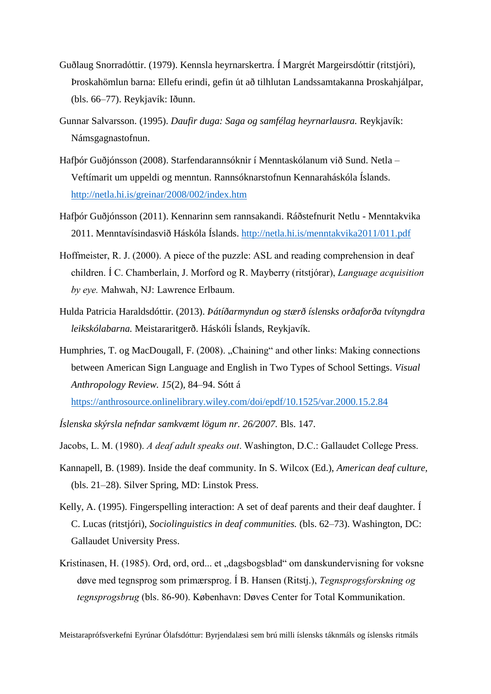- Guðlaug Snorradóttir. (1979). Kennsla heyrnarskertra. Í Margrét Margeirsdóttir (ritstjóri), Þroskahömlun barna: Ellefu erindi, gefin út að tilhlutan Landssamtakanna Þroskahjálpar, (bls. 66–77). Reykjavík: Iðunn.
- Gunnar Salvarsson. (1995). *Daufir duga: Saga og samfélag heyrnarlausra.* Reykjavík: Námsgagnastofnun.
- Hafþór Guðjónsson (2008). Starfendarannsóknir í Menntaskólanum við Sund. Netla Veftímarit um uppeldi og menntun. Rannsóknarstofnun Kennaraháskóla Íslands. <http://netla.hi.is/greinar/2008/002/index.htm>
- Hafþór Guðjónsson (2011). Kennarinn sem rannsakandi. Ráðstefnurit Netlu Menntakvika 2011. Menntavísindasvið Háskóla Íslands.<http://netla.hi.is/menntakvika2011/011.pdf>
- Hoffmeister, R. J. (2000). A piece of the puzzle: ASL and reading comprehension in deaf children. Í C. Chamberlain, J. Morford og R. Mayberry (ritstjórar), *Language acquisition by eye.* Mahwah, NJ: Lawrence Erlbaum.
- Hulda Patricia Haraldsdóttir. (2013). *Þátíðarmyndun og stærð íslensks orðaforða tvítyngdra leikskólabarna.* Meistararitgerð. Háskóli Íslands, Reykjavík.
- Humphries, T. og MacDougall, F. (2008). "Chaining" and other links: Making connections between American Sign Language and English in Two Types of School Settings. *Visual Anthropology Review. 15*(2), 84–94. Sótt á <https://anthrosource.onlinelibrary.wiley.com/doi/epdf/10.1525/var.2000.15.2.84>
- 
- *Íslenska skýrsla nefndar samkvæmt lögum nr. 26/2007.* Bls. 147.
- Jacobs, L. M. (1980). *A deaf adult speaks out*. Washington, D.C.: Gallaudet College Press.
- Kannapell, B. (1989). Inside the deaf community. In S. Wilcox (Ed.), *American deaf culture,* (bls. 21–28). Silver Spring, MD: Linstok Press.
- Kelly, A. (1995). Fingerspelling interaction: A set of deaf parents and their deaf daughter. Í C. Lucas (ritstjóri), *Sociolinguistics in deaf communities.* (bls. 62–73). Washington, DC: Gallaudet University Press.
- Kristinasen, H. (1985). Ord, ord, ord... et "dagsbogsblad" om danskundervisning for voksne døve med tegnsprog som primærsprog. Í B. Hansen (Ritstj.), *Tegnsprogsforskning og tegnsprogsbrug* (bls. 86-90). København: Døves Center for Total Kommunikation.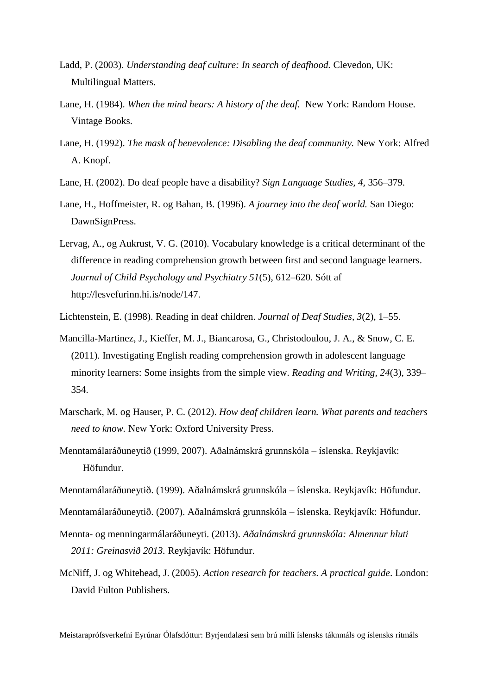- Ladd, P. (2003). *Understanding deaf culture: In search of deafhood.* Clevedon, UK: Multilingual Matters.
- Lane, H. (1984). *When the mind hears: A history of the deaf.* New York: Random House. Vintage Books.
- Lane, H. (1992). *The mask of benevolence: Disabling the deaf community.* New York: Alfred A. Knopf.
- Lane, H. (2002). Do deaf people have a disability? *Sign Language Studies, 4,* 356–379*.*
- Lane, H., Hoffmeister, R. og Bahan, B. (1996). *A journey into the deaf world.* San Diego: DawnSignPress.
- Lervag, A., og Aukrust, V. G. (2010). Vocabulary knowledge is a critical determinant of the difference in reading comprehension growth between first and second language learners. *Journal of Child Psychology and Psychiatry 51*(5), 612–620. Sótt af http://lesvefurinn.hi.is/node/147.
- Lichtenstein, E. (1998). Reading in deaf children. *Journal of Deaf Studies, 3*(2), 1–55.
- Mancilla-Martinez, J., Kieffer, M. J., Biancarosa, G., Christodoulou, J. A., & Snow, C. E. (2011). Investigating English reading comprehension growth in adolescent language minority learners: Some insights from the simple view. *Reading and Writing, 24*(3), 339– 354.
- Marschark, M. og Hauser, P. C. (2012). *How deaf children learn. What parents and teachers need to know.* New York: Oxford University Press.
- Menntamálaráðuneytið (1999, 2007). Aðalnámskrá grunnskóla íslenska. Reykjavík: Höfundur.
- Menntamálaráðuneytið. (1999). Aðalnámskrá grunnskóla íslenska. Reykjavík: Höfundur.
- Menntamálaráðuneytið. (2007). Aðalnámskrá grunnskóla íslenska. Reykjavík: Höfundur.
- Mennta- og menningarmálaráðuneyti. (2013). *Aðalnámskrá grunnskóla: Almennur hluti 2011: Greinasvið 2013.* Reykjavík: Höfundur.
- McNiff, J. og Whitehead, J. (2005). *Action research for teachers. A practical guide*. London: David Fulton Publishers.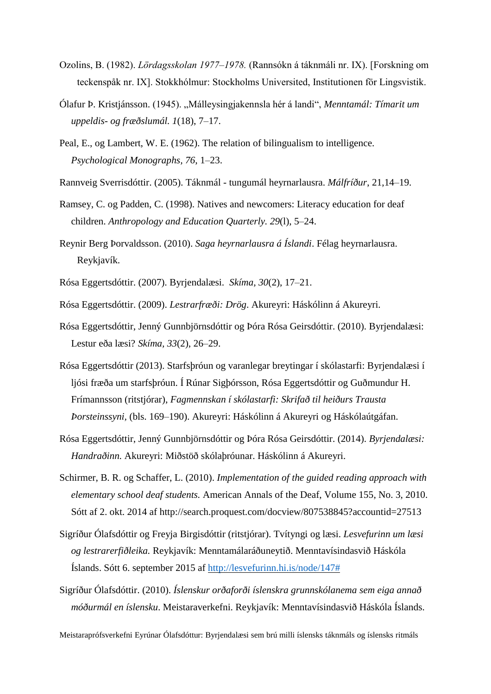- Ozolins, B. (1982). *Lördagsskolan 1977–1978.* (Rannsókn á táknmáli nr. IX). [Forskning om teckenspåk nr. IX]. Stokkhólmur: Stockholms Universited, Institutionen för Lingsvistik.
- Ólafur Þ. Kristjánsson. (1945). "Málleysingjakennsla hér á landi", *Menntamál: Tímarit um uppeldis- og fræðslumál. 1*(18), 7–17.
- Peal, E., og Lambert, W. E. (1962). The relation of bilingualism to intelligence. *Psychological Monographs, 76*, 1–23.
- Rannveig Sverrisdóttir. (2005). Táknmál tungumál heyrnarlausra. *Málfríður*, 21,14–19.
- Ramsey, C. og Padden, C. (1998). Natives and newcomers: Literacy education for deaf children. *Anthropology and Education Quarterly. 29*(l), 5–24.
- Reynir Berg Þorvaldsson. (2010). *Saga heyrnarlausra á Íslandi*. Félag heyrnarlausra. Reykjavík.
- Rósa Eggertsdóttir. (2007). Byrjendalæsi. *Skíma, 30*(2), 17–21.
- Rósa Eggertsdóttir. (2009). *Lestrarfræði: Drög*. Akureyri: Háskólinn á Akureyri.
- Rósa Eggertsdóttir, Jenný Gunnbjörnsdóttir og Þóra Rósa Geirsdóttir. (2010). Byrjendalæsi: Lestur eða læsi? *Skíma, 33*(2), 26–29.
- Rósa Eggertsdóttir (2013). Starfsþróun og varanlegar breytingar í skólastarfi: Byrjendalæsi í ljósi fræða um starfsþróun. Í Rúnar Sigþórsson, Rósa Eggertsdóttir og Guðmundur H. Frímannsson (ritstjórar), *Fagmennskan í skólastarfi: Skrifað til heiðurs Trausta Þorsteinssyni,* (bls. 169–190). Akureyri: Háskólinn á Akureyri og Háskólaútgáfan.
- Rósa Eggertsdóttir, Jenný Gunnbjörnsdóttir og Þóra Rósa Geirsdóttir. (2014). *Byrjendalæsi: Handraðinn.* Akureyri: Miðstöð skólaþróunar. Háskólinn á Akureyri.
- Schirmer, B. R. og Schaffer, L. (2010). *Implementation of the guided reading approach with elementary school deaf students.* American Annals of the Deaf, Volume 155, No. 3, 2010. Sótt af 2. okt. 2014 af http://search.proquest.com/docview/807538845?accountid=27513
- Sigríður Ólafsdóttir og Freyja Birgisdóttir (ritstjórar). Tvítyngi og læsi. *Lesvefurinn um læsi og lestrarerfiðleika.* Reykjavík: Menntamálaráðuneytið. Menntavísindasvið Háskóla Íslands. Sótt 6. september 2015 af [http://lesvefurinn.hi.is/node/147#](http://lesvefurinn.hi.is/node/147)
- Sigríður Ólafsdóttir. (2010). *Íslenskur orðaforði íslenskra grunnskólanema sem eiga annað móðurmál en íslensku*. Meistaraverkefni. Reykjavík: Menntavísindasvið Háskóla Íslands.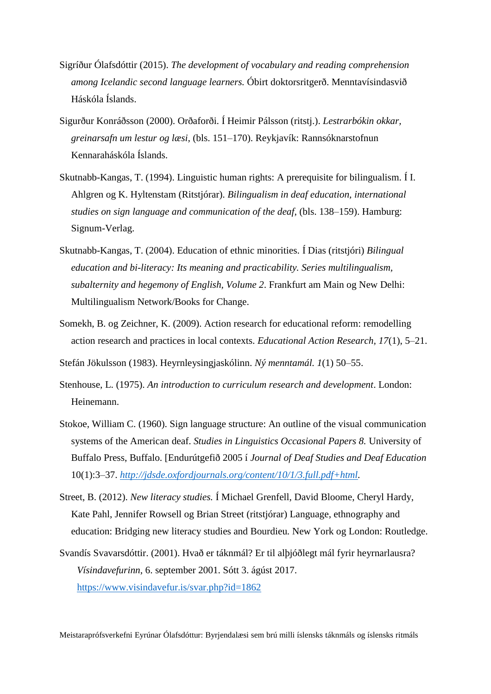- Sigríður Ólafsdóttir (2015). *The development of vocabulary and reading comprehension among Icelandic second language learners.* Óbirt doktorsritgerð. Menntavísindasvið Háskóla Íslands.
- Sigurður Konráðsson (2000). Orðaforði. Í Heimir Pálsson (ritstj.). *Lestrarbókin okkar, greinarsafn um lestur og læsi,* (bls. 151–170). Reykjavík: Rannsóknarstofnun Kennaraháskóla Íslands.
- Skutnabb-Kangas, T. (1994). Linguistic human rights: A prerequisite for bilingualism. Í I. Ahlgren og K. Hyltenstam (Ritstjórar). *Bilingualism in deaf education, international studies on sign language and communication of the deaf*, (bls. 138–159). Hamburg: Signum-Verlag.
- Skutnabb-Kangas, T. (2004). Education of ethnic minorities. Í Dias (ritstjóri) *Bilingual education and bi-literacy: Its meaning and practicability. Series multilingualism, subalternity and hegemony of English, Volume 2*. Frankfurt am Main og New Delhi: Multilingualism Network/Books for Change.
- Somekh, B. og Zeichner, K. (2009). Action research for educational reform: remodelling action research and practices in local contexts. *Educational Action Research, 17*(1), 5–21.

Stefán Jökulsson (1983). Heyrnleysingjaskólinn. *Ný menntamál. 1*(1) 50–55.

- Stenhouse, L. (1975). *An introduction to curriculum research and development*. London: Heinemann.
- Stokoe, William C. (1960). Sign language structure: An outline of the visual communication systems of the American deaf. *Studies in Linguistics Occasional Papers 8.* University of Buffalo Press, Buffalo. [Endurútgefið 2005 í *Journal of Deaf Studies and Deaf Education* 10(1):3–37. *[http://jdsde.oxfordjournals.org/content/10/1/3.full.pdf+html.](http://jdsde.oxfordjournals.org/content/10/1/3.full.pdf+html)*
- Street, B. (2012). *New literacy studies.* Í Michael Grenfell, David Bloome, Cheryl Hardy, Kate Pahl, Jennifer Rowsell og Brian Street (ritstjórar) Language, ethnography and education: Bridging new literacy studies and Bourdieu*.* New York og London: Routledge.
- Svandís Svavarsdóttir. (2001). Hvað er táknmál? Er til alþjóðlegt mál fyrir heyrnarlausra? *Vísindavefurinn*, 6. september 2001. Sótt 3. ágúst 2017. <https://www.visindavefur.is/svar.php?id=1862>